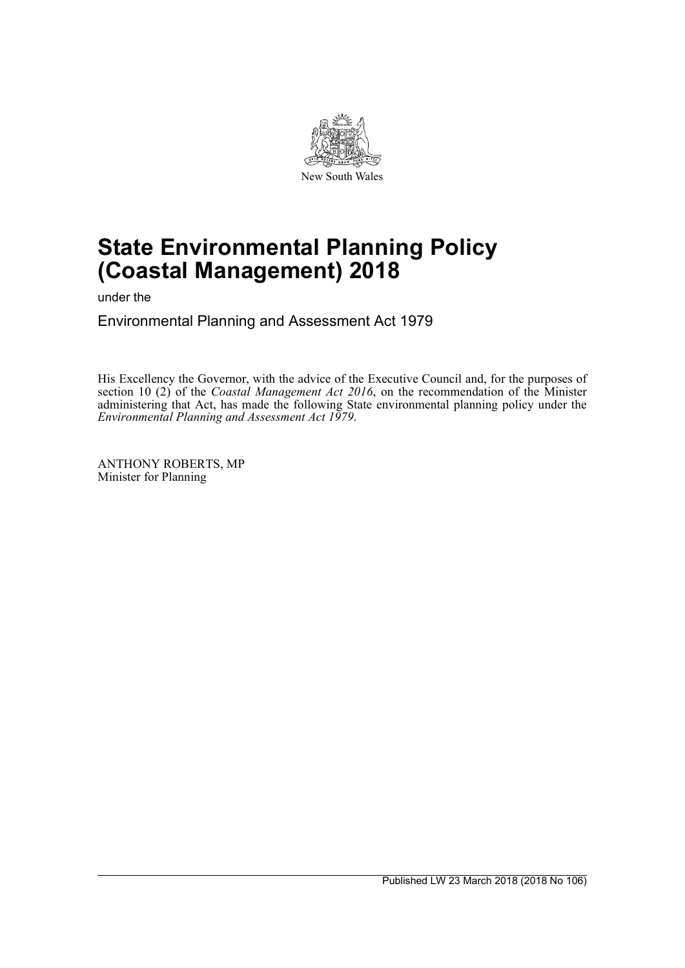

# **State Environmental Planning Policy (Coastal Management) 2018**

under the

Environmental Planning and Assessment Act 1979

His Excellency the Governor, with the advice of the Executive Council and, for the purposes of section 10 (2) of the *Coastal Management Act 2016*, on the recommendation of the Minister administering that Act, has made the following State environmental planning policy under the *Environmental Planning and Assessment Act 1979*.

ANTHONY ROBERTS, MP Minister for Planning

Published LW 23 March 2018 (2018 No 106)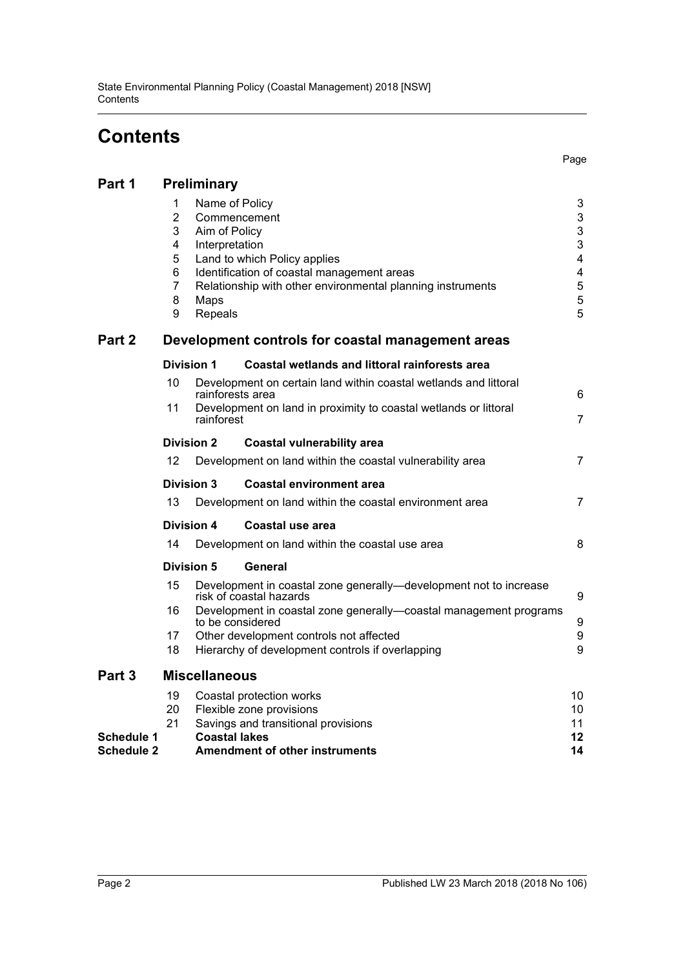# **Contents**

| Part 1            | Preliminary                                                                                                                                                                                                                                                                                                                                                                                                                   |                                                                                                                                                                                                                                                                                      |                                                                                                                                      |                      |
|-------------------|-------------------------------------------------------------------------------------------------------------------------------------------------------------------------------------------------------------------------------------------------------------------------------------------------------------------------------------------------------------------------------------------------------------------------------|--------------------------------------------------------------------------------------------------------------------------------------------------------------------------------------------------------------------------------------------------------------------------------------|--------------------------------------------------------------------------------------------------------------------------------------|----------------------|
| Part 2            | 1<br>Name of Policy<br>3<br>$\mathbf{3}$<br>$\overline{2}$<br>Commencement<br>3<br>3<br>Aim of Policy<br>3<br>4<br>Interpretation<br>$\overline{\mathbf{4}}$<br>5<br>Land to which Policy applies<br>4<br>6<br>Identification of coastal management areas<br>5<br>7<br>Relationship with other environmental planning instruments<br>5<br>8<br>Maps<br>5<br>9<br>Repeals<br>Development controls for coastal management areas |                                                                                                                                                                                                                                                                                      |                                                                                                                                      |                      |
|                   | <b>Division 1</b><br>Coastal wetlands and littoral rainforests area                                                                                                                                                                                                                                                                                                                                                           |                                                                                                                                                                                                                                                                                      |                                                                                                                                      |                      |
|                   | 10<br>rainforests area<br>11<br>rainforest<br><b>Division 2</b><br>12                                                                                                                                                                                                                                                                                                                                                         |                                                                                                                                                                                                                                                                                      | Development on certain land within coastal wetlands and littoral<br>Development on land in proximity to coastal wetlands or littoral | 6<br>$\overline{7}$  |
|                   |                                                                                                                                                                                                                                                                                                                                                                                                                               |                                                                                                                                                                                                                                                                                      | <b>Coastal vulnerability area</b>                                                                                                    |                      |
|                   |                                                                                                                                                                                                                                                                                                                                                                                                                               |                                                                                                                                                                                                                                                                                      | Development on land within the coastal vulnerability area                                                                            | 7                    |
|                   | <b>Division 3</b>                                                                                                                                                                                                                                                                                                                                                                                                             |                                                                                                                                                                                                                                                                                      | <b>Coastal environment area</b>                                                                                                      |                      |
|                   | 13                                                                                                                                                                                                                                                                                                                                                                                                                            |                                                                                                                                                                                                                                                                                      | Development on land within the coastal environment area                                                                              | $\overline{7}$       |
|                   | <b>Division 4</b>                                                                                                                                                                                                                                                                                                                                                                                                             |                                                                                                                                                                                                                                                                                      | Coastal use area                                                                                                                     |                      |
|                   | 14                                                                                                                                                                                                                                                                                                                                                                                                                            |                                                                                                                                                                                                                                                                                      | Development on land within the coastal use area                                                                                      | 8                    |
|                   | <b>Division 5</b>                                                                                                                                                                                                                                                                                                                                                                                                             |                                                                                                                                                                                                                                                                                      | General                                                                                                                              |                      |
|                   | 15<br>16<br>17<br>18                                                                                                                                                                                                                                                                                                                                                                                                          | Development in coastal zone generally—development not to increase<br>risk of coastal hazards<br>Development in coastal zone generally-coastal management programs<br>to be considered<br>Other development controls not affected<br>Hierarchy of development controls if overlapping |                                                                                                                                      |                      |
|                   |                                                                                                                                                                                                                                                                                                                                                                                                                               |                                                                                                                                                                                                                                                                                      |                                                                                                                                      | 9                    |
| Part 3            | <b>Miscellaneous</b>                                                                                                                                                                                                                                                                                                                                                                                                          |                                                                                                                                                                                                                                                                                      |                                                                                                                                      |                      |
| <b>Schedule 1</b> | 19<br>Coastal protection works<br>20<br>Flexible zone provisions<br>21<br>Savings and transitional provisions<br><b>Coastal lakes</b>                                                                                                                                                                                                                                                                                         |                                                                                                                                                                                                                                                                                      |                                                                                                                                      | 10<br>10<br>11<br>12 |
| <b>Schedule 2</b> |                                                                                                                                                                                                                                                                                                                                                                                                                               | <b>Amendment of other instruments</b>                                                                                                                                                                                                                                                |                                                                                                                                      | 14                   |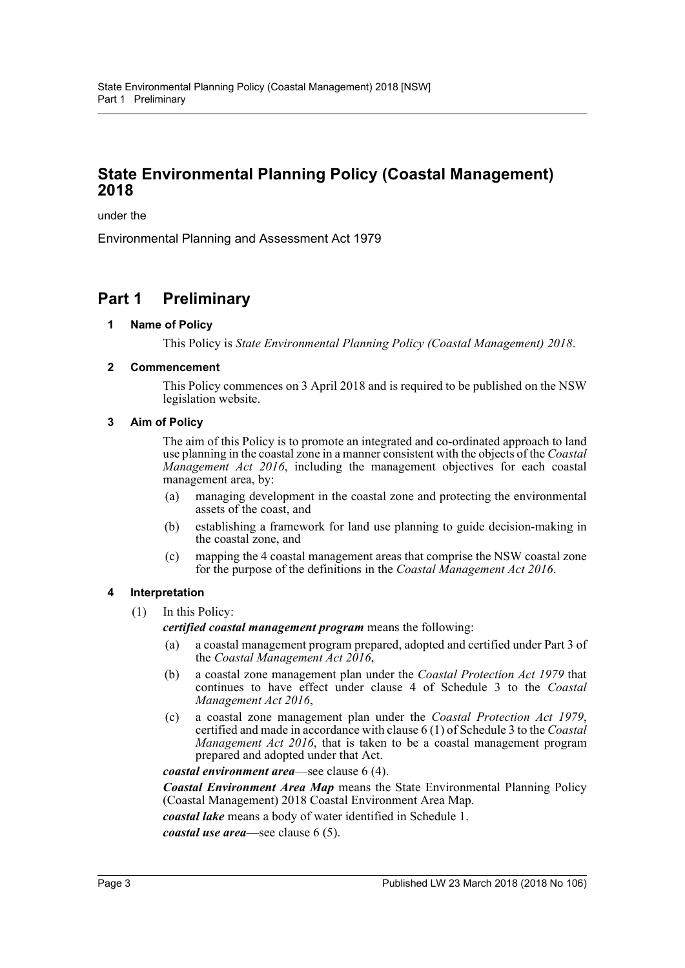## **State Environmental Planning Policy (Coastal Management) 2018**

under the

Environmental Planning and Assessment Act 1979

## <span id="page-2-1"></span><span id="page-2-0"></span>**Part 1 Preliminary**

#### **1 Name of Policy**

This Policy is *State Environmental Planning Policy (Coastal Management) 2018*.

#### <span id="page-2-2"></span>**2 Commencement**

This Policy commences on 3 April 2018 and is required to be published on the NSW legislation website.

#### <span id="page-2-3"></span>**3 Aim of Policy**

The aim of this Policy is to promote an integrated and co-ordinated approach to land use planning in the coastal zone in a manner consistent with the objects of the *Coastal Management Act 2016*, including the management objectives for each coastal management area, by:

- (a) managing development in the coastal zone and protecting the environmental assets of the coast, and
- (b) establishing a framework for land use planning to guide decision-making in the coastal zone, and
- (c) mapping the 4 coastal management areas that comprise the NSW coastal zone for the purpose of the definitions in the *Coastal Management Act 2016*.

#### <span id="page-2-4"></span>**4 Interpretation**

(1) In this Policy:

*certified coastal management program* means the following:

- (a) a coastal management program prepared, adopted and certified under Part 3 of the *Coastal Management Act 2016*,
- (b) a coastal zone management plan under the *Coastal Protection Act 1979* that continues to have effect under clause 4 of Schedule 3 to the *Coastal Management Act 2016*,
- (c) a coastal zone management plan under the *Coastal Protection Act 1979*, certified and made in accordance with clause 6 (1) of Schedule 3 to the *Coastal Management Act 2016*, that is taken to be a coastal management program prepared and adopted under that Act.

*coastal environment area*—see clause 6 (4).

*Coastal Environment Area Map* means the State Environmental Planning Policy (Coastal Management) 2018 Coastal Environment Area Map.

*coastal lake* means a body of water identified in Schedule 1.

*coastal use area*—see clause 6 (5).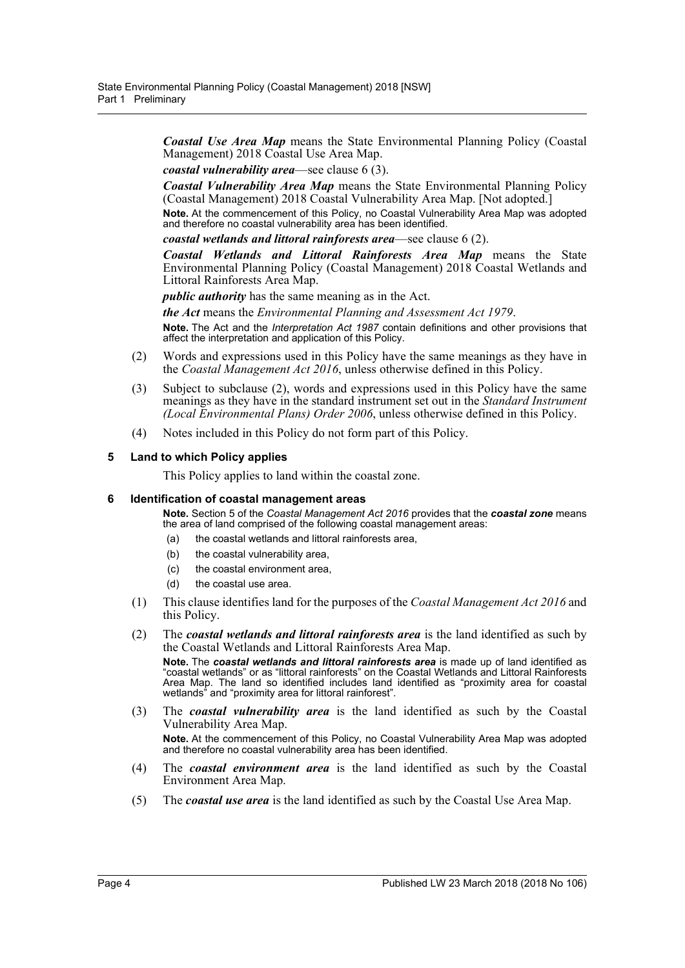*Coastal Use Area Map* means the State Environmental Planning Policy (Coastal Management) 2018 Coastal Use Area Map.

*coastal vulnerability area*—see clause 6 (3).

*Coastal Vulnerability Area Map* means the State Environmental Planning Policy (Coastal Management) 2018 Coastal Vulnerability Area Map. [Not adopted.]

**Note.** At the commencement of this Policy, no Coastal Vulnerability Area Map was adopted and therefore no coastal vulnerability area has been identified.

*coastal wetlands and littoral rainforests area*—see clause 6 (2).

*Coastal Wetlands and Littoral Rainforests Area Map* means the State Environmental Planning Policy (Coastal Management) 2018 Coastal Wetlands and Littoral Rainforests Area Map.

*public authority* has the same meaning as in the Act.

*the Act* means the *Environmental Planning and Assessment Act 1979*.

**Note.** The Act and the *Interpretation Act 1987* contain definitions and other provisions that affect the interpretation and application of this Policy.

- (2) Words and expressions used in this Policy have the same meanings as they have in the *Coastal Management Act 2016*, unless otherwise defined in this Policy.
- (3) Subject to subclause (2), words and expressions used in this Policy have the same meanings as they have in the standard instrument set out in the *Standard Instrument (Local Environmental Plans) Order 2006*, unless otherwise defined in this Policy.
- (4) Notes included in this Policy do not form part of this Policy.

#### <span id="page-3-0"></span>**5 Land to which Policy applies**

This Policy applies to land within the coastal zone.

#### <span id="page-3-1"></span>**6 Identification of coastal management areas**

**Note.** Section 5 of the *Coastal Management Act 2016* provides that the *coastal zone* means the area of land comprised of the following coastal management areas:

- (a) the coastal wetlands and littoral rainforests area,
- (b) the coastal vulnerability area,
- (c) the coastal environment area,
- (d) the coastal use area.
- (1) This clause identifies land for the purposes of the *Coastal Management Act 2016* and this Policy.
- (2) The *coastal wetlands and littoral rainforests area* is the land identified as such by the Coastal Wetlands and Littoral Rainforests Area Map.

**Note.** The *coastal wetlands and littoral rainforests area* is made up of land identified as "coastal wetlands" or as "littoral rainforests" on the Coastal Wetlands and Littoral Rainforests Area Map. The land so identified includes land identified as "proximity area for coastal wetlands" and "proximity area for littoral rainforest".

(3) The *coastal vulnerability area* is the land identified as such by the Coastal Vulnerability Area Map.

**Note.** At the commencement of this Policy, no Coastal Vulnerability Area Map was adopted and therefore no coastal vulnerability area has been identified.

- (4) The *coastal environment area* is the land identified as such by the Coastal Environment Area Map.
- (5) The *coastal use area* is the land identified as such by the Coastal Use Area Map.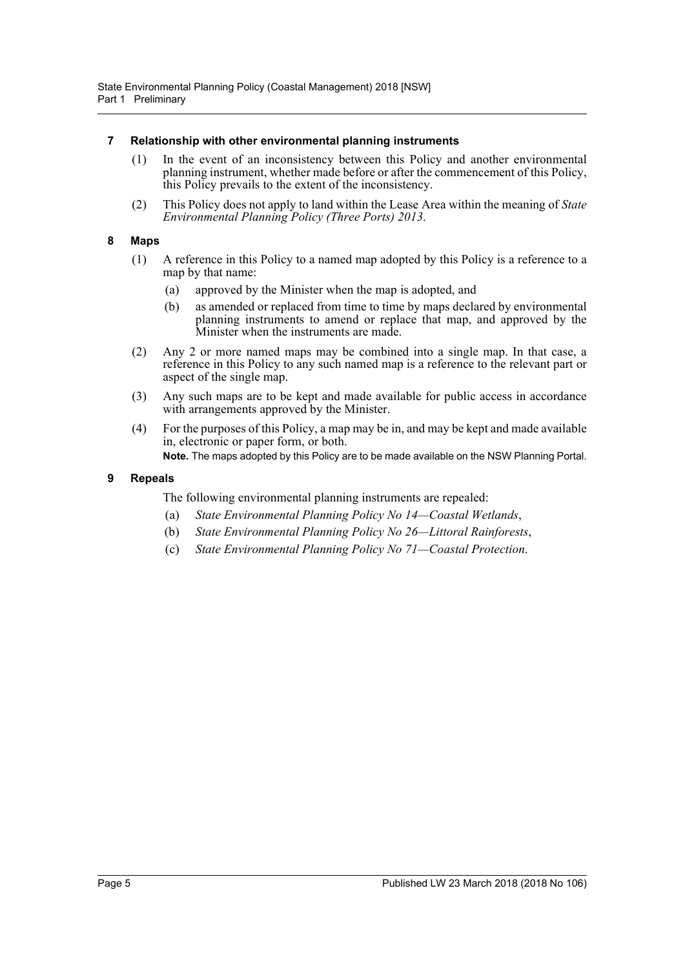#### <span id="page-4-0"></span>**7 Relationship with other environmental planning instruments**

- (1) In the event of an inconsistency between this Policy and another environmental planning instrument, whether made before or after the commencement of this Policy, this Policy prevails to the extent of the inconsistency.
- (2) This Policy does not apply to land within the Lease Area within the meaning of *State Environmental Planning Policy (Three Ports) 2013*.

#### <span id="page-4-1"></span>**8 Maps**

- (1) A reference in this Policy to a named map adopted by this Policy is a reference to a map by that name:
	- (a) approved by the Minister when the map is adopted, and
	- (b) as amended or replaced from time to time by maps declared by environmental planning instruments to amend or replace that map, and approved by the Minister when the instruments are made.
- (2) Any 2 or more named maps may be combined into a single map. In that case, a reference in this Policy to any such named map is a reference to the relevant part or aspect of the single map.
- (3) Any such maps are to be kept and made available for public access in accordance with arrangements approved by the Minister.
- (4) For the purposes of this Policy, a map may be in, and may be kept and made available in, electronic or paper form, or both.

**Note.** The maps adopted by this Policy are to be made available on the NSW Planning Portal.

#### <span id="page-4-2"></span>**9 Repeals**

The following environmental planning instruments are repealed:

- (a) *State Environmental Planning Policy No 14—Coastal Wetlands*,
- (b) *State Environmental Planning Policy No 26—Littoral Rainforests*,
- (c) *State Environmental Planning Policy No 71—Coastal Protection*.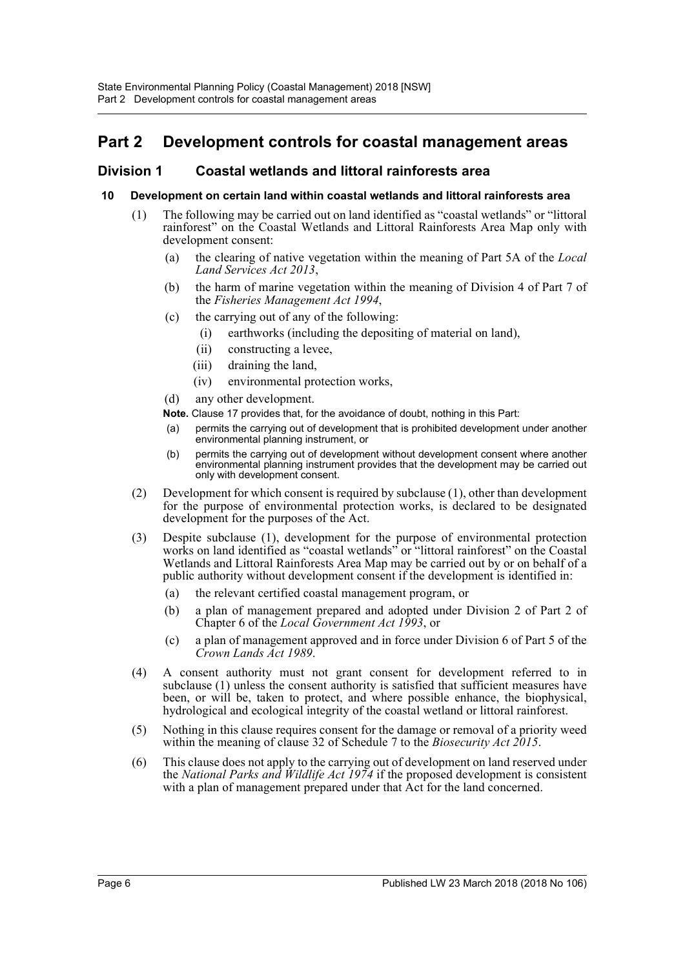## <span id="page-5-0"></span>**Part 2 Development controls for coastal management areas**

## <span id="page-5-1"></span>**Division 1 Coastal wetlands and littoral rainforests area**

#### <span id="page-5-2"></span>**10 Development on certain land within coastal wetlands and littoral rainforests area**

- (1) The following may be carried out on land identified as "coastal wetlands" or "littoral rainforest" on the Coastal Wetlands and Littoral Rainforests Area Map only with development consent:
	- (a) the clearing of native vegetation within the meaning of Part 5A of the *Local Land Services Act 2013*,
	- (b) the harm of marine vegetation within the meaning of Division 4 of Part 7 of the *Fisheries Management Act 1994*,
	- (c) the carrying out of any of the following:
		- (i) earthworks (including the depositing of material on land),
		- (ii) constructing a levee,
		- (iii) draining the land,
		- (iv) environmental protection works,
	- (d) any other development.
	- **Note.** Clause 17 provides that, for the avoidance of doubt, nothing in this Part:
	- (a) permits the carrying out of development that is prohibited development under another environmental planning instrument, or
	- (b) permits the carrying out of development without development consent where another environmental planning instrument provides that the development may be carried out only with development consent.
- (2) Development for which consent is required by subclause (1), other than development for the purpose of environmental protection works, is declared to be designated development for the purposes of the Act.
- (3) Despite subclause (1), development for the purpose of environmental protection works on land identified as "coastal wetlands" or "littoral rainforest" on the Coastal Wetlands and Littoral Rainforests Area Map may be carried out by or on behalf of a public authority without development consent if the development is identified in:
	- (a) the relevant certified coastal management program, or
	- (b) a plan of management prepared and adopted under Division 2 of Part 2 of Chapter 6 of the *Local Government Act 1993*, or
	- (c) a plan of management approved and in force under Division 6 of Part 5 of the *Crown Lands Act 1989*.
- (4) A consent authority must not grant consent for development referred to in subclause (1) unless the consent authority is satisfied that sufficient measures have been, or will be, taken to protect, and where possible enhance, the biophysical, hydrological and ecological integrity of the coastal wetland or littoral rainforest.
- (5) Nothing in this clause requires consent for the damage or removal of a priority weed within the meaning of clause 32 of Schedule 7 to the *Biosecurity Act 2015*.
- (6) This clause does not apply to the carrying out of development on land reserved under the *National Parks and Wildlife Act 1974* if the proposed development is consistent with a plan of management prepared under that Act for the land concerned.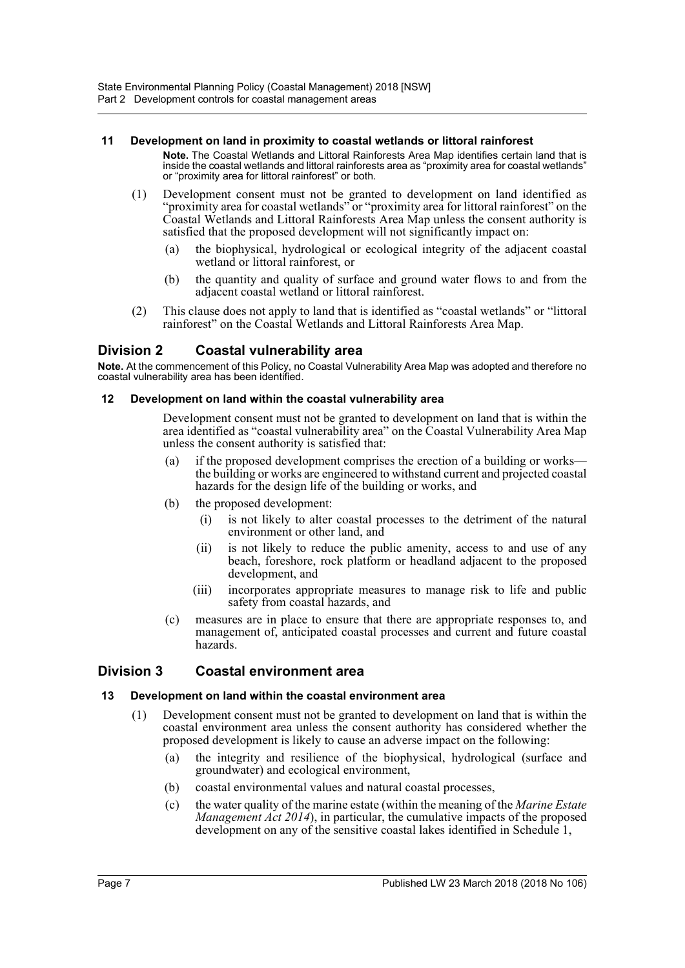#### <span id="page-6-0"></span>**11 Development on land in proximity to coastal wetlands or littoral rainforest**

- **Note.** The Coastal Wetlands and Littoral Rainforests Area Map identifies certain land that is inside the coastal wetlands and littoral rainforests area as "proximity area for coastal wetlands" or "proximity area for littoral rainforest" or both.
- (1) Development consent must not be granted to development on land identified as "proximity area for coastal wetlands" or "proximity area for littoral rainforest" on the Coastal Wetlands and Littoral Rainforests Area Map unless the consent authority is satisfied that the proposed development will not significantly impact on:
	- (a) the biophysical, hydrological or ecological integrity of the adjacent coastal wetland or littoral rainforest, or
	- (b) the quantity and quality of surface and ground water flows to and from the adjacent coastal wetland or littoral rainforest.
- (2) This clause does not apply to land that is identified as "coastal wetlands" or "littoral rainforest" on the Coastal Wetlands and Littoral Rainforests Area Map.

## <span id="page-6-1"></span>**Division 2 Coastal vulnerability area**

**Note.** At the commencement of this Policy, no Coastal Vulnerability Area Map was adopted and therefore no coastal vulnerability area has been identified.

#### <span id="page-6-2"></span>**12 Development on land within the coastal vulnerability area**

Development consent must not be granted to development on land that is within the area identified as "coastal vulnerability area" on the Coastal Vulnerability Area Map unless the consent authority is satisfied that:

- (a) if the proposed development comprises the erection of a building or works the building or works are engineered to withstand current and projected coastal hazards for the design life of the building or works, and
- (b) the proposed development:
	- (i) is not likely to alter coastal processes to the detriment of the natural environment or other land, and
	- (ii) is not likely to reduce the public amenity, access to and use of any beach, foreshore, rock platform or headland adjacent to the proposed development, and
	- (iii) incorporates appropriate measures to manage risk to life and public safety from coastal hazards, and
- (c) measures are in place to ensure that there are appropriate responses to, and management of, anticipated coastal processes and current and future coastal hazards.

## <span id="page-6-3"></span>**Division 3 Coastal environment area**

#### <span id="page-6-4"></span>**13 Development on land within the coastal environment area**

- (1) Development consent must not be granted to development on land that is within the coastal environment area unless the consent authority has considered whether the proposed development is likely to cause an adverse impact on the following:
	- (a) the integrity and resilience of the biophysical, hydrological (surface and groundwater) and ecological environment,
	- (b) coastal environmental values and natural coastal processes,
	- (c) the water quality of the marine estate (within the meaning of the *Marine Estate Management Act 2014*), in particular, the cumulative impacts of the proposed development on any of the sensitive coastal lakes identified in Schedule 1,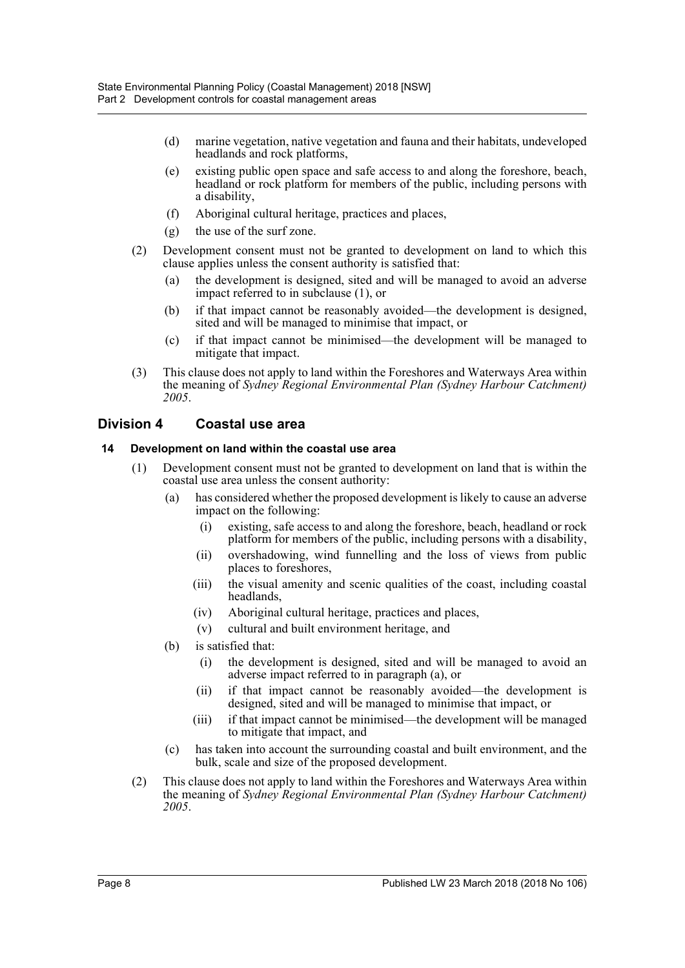- (d) marine vegetation, native vegetation and fauna and their habitats, undeveloped headlands and rock platforms,
- (e) existing public open space and safe access to and along the foreshore, beach, headland or rock platform for members of the public, including persons with a disability,
- (f) Aboriginal cultural heritage, practices and places,
- (g) the use of the surf zone.
- (2) Development consent must not be granted to development on land to which this clause applies unless the consent authority is satisfied that:
	- (a) the development is designed, sited and will be managed to avoid an adverse impact referred to in subclause (1), or
	- (b) if that impact cannot be reasonably avoided—the development is designed, sited and will be managed to minimise that impact, or
	- (c) if that impact cannot be minimised—the development will be managed to mitigate that impact.
- (3) This clause does not apply to land within the Foreshores and Waterways Area within the meaning of *Sydney Regional Environmental Plan (Sydney Harbour Catchment) 2005*.

## <span id="page-7-0"></span>**Division 4 Coastal use area**

#### <span id="page-7-1"></span>**14 Development on land within the coastal use area**

- (1) Development consent must not be granted to development on land that is within the coastal use area unless the consent authority:
	- (a) has considered whether the proposed development is likely to cause an adverse impact on the following:
		- (i) existing, safe access to and along the foreshore, beach, headland or rock platform for members of the public, including persons with a disability,
		- (ii) overshadowing, wind funnelling and the loss of views from public places to foreshores,
		- (iii) the visual amenity and scenic qualities of the coast, including coastal headlands,
		- (iv) Aboriginal cultural heritage, practices and places,
		- (v) cultural and built environment heritage, and
	- (b) is satisfied that:
		- (i) the development is designed, sited and will be managed to avoid an adverse impact referred to in paragraph (a), or
		- (ii) if that impact cannot be reasonably avoided—the development is designed, sited and will be managed to minimise that impact, or
		- (iii) if that impact cannot be minimised—the development will be managed to mitigate that impact, and
	- (c) has taken into account the surrounding coastal and built environment, and the bulk, scale and size of the proposed development.
- (2) This clause does not apply to land within the Foreshores and Waterways Area within the meaning of *Sydney Regional Environmental Plan (Sydney Harbour Catchment) 2005*.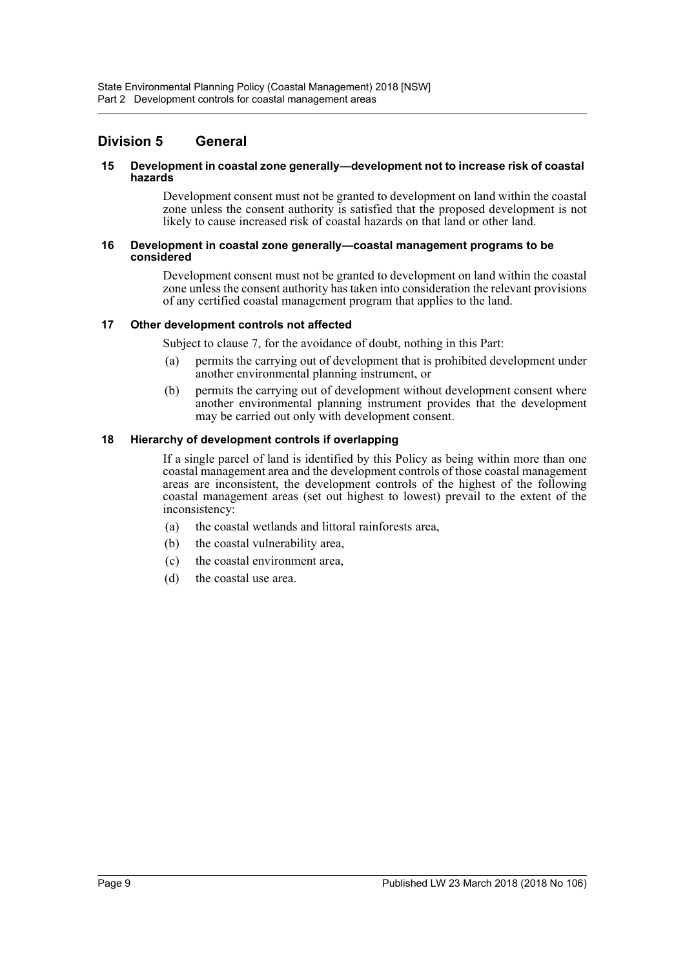## <span id="page-8-0"></span>**Division 5 General**

#### <span id="page-8-1"></span>**15 Development in coastal zone generally—development not to increase risk of coastal hazards**

Development consent must not be granted to development on land within the coastal zone unless the consent authority is satisfied that the proposed development is not likely to cause increased risk of coastal hazards on that land or other land.

#### <span id="page-8-2"></span>**16 Development in coastal zone generally—coastal management programs to be considered**

Development consent must not be granted to development on land within the coastal zone unless the consent authority has taken into consideration the relevant provisions of any certified coastal management program that applies to the land.

#### <span id="page-8-3"></span>**17 Other development controls not affected**

Subject to clause 7, for the avoidance of doubt, nothing in this Part:

- (a) permits the carrying out of development that is prohibited development under another environmental planning instrument, or
- (b) permits the carrying out of development without development consent where another environmental planning instrument provides that the development may be carried out only with development consent.

#### <span id="page-8-4"></span>**18 Hierarchy of development controls if overlapping**

If a single parcel of land is identified by this Policy as being within more than one coastal management area and the development controls of those coastal management areas are inconsistent, the development controls of the highest of the following coastal management areas (set out highest to lowest) prevail to the extent of the inconsistency:

- (a) the coastal wetlands and littoral rainforests area,
- (b) the coastal vulnerability area,
- (c) the coastal environment area,
- (d) the coastal use area.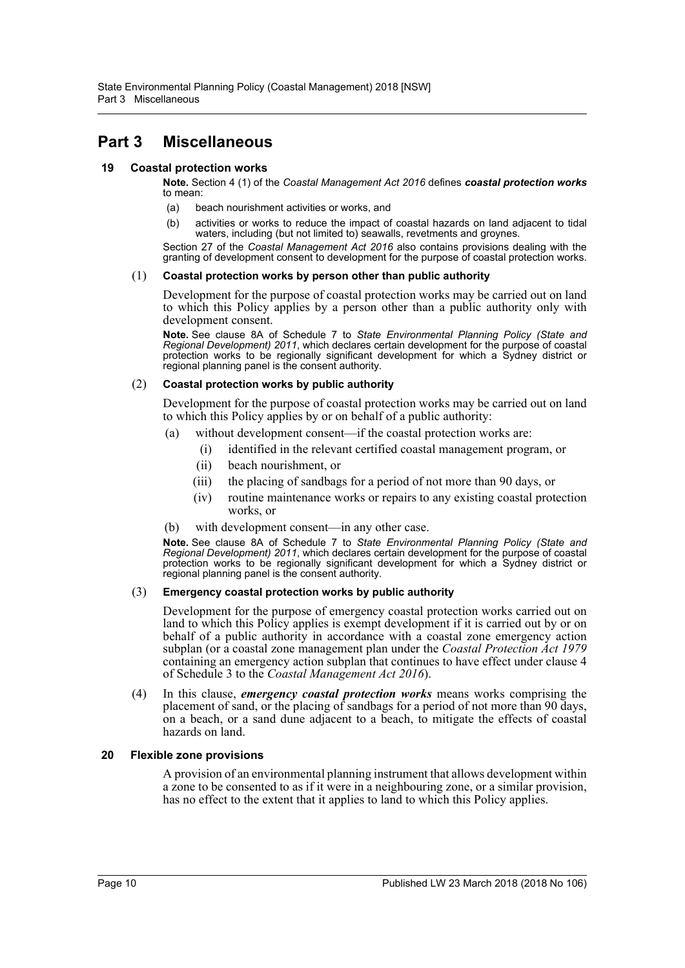## <span id="page-9-0"></span>**Part 3 Miscellaneous**

#### <span id="page-9-1"></span>**19 Coastal protection works**

**Note.** Section 4 (1) of the *Coastal Management Act 2016* defines *coastal protection works* to mean:

- (a) beach nourishment activities or works, and
- (b) activities or works to reduce the impact of coastal hazards on land adjacent to tidal waters, including (but not limited to) seawalls, revetments and groynes.

Section 27 of the *Coastal Management Act 2016* also contains provisions dealing with the granting of development consent to development for the purpose of coastal protection works.

#### (1) **Coastal protection works by person other than public authority**

Development for the purpose of coastal protection works may be carried out on land to which this Policy applies by a person other than a public authority only with development consent.

**Note.** See clause 8A of Schedule 7 to *State Environmental Planning Policy (State and Regional Development) 2011*, which declares certain development for the purpose of coastal protection works to be regionally significant development for which a Sydney district or regional planning panel is the consent authority.

#### (2) **Coastal protection works by public authority**

Development for the purpose of coastal protection works may be carried out on land to which this Policy applies by or on behalf of a public authority:

- (a) without development consent—if the coastal protection works are:
	- (i) identified in the relevant certified coastal management program, or
	- (ii) beach nourishment, or
	- (iii) the placing of sandbags for a period of not more than 90 days, or
	- (iv) routine maintenance works or repairs to any existing coastal protection works, or
- (b) with development consent—in any other case.

**Note.** See clause 8A of Schedule 7 to *State Environmental Planning Policy (State and Regional Development) 2011*, which declares certain development for the purpose of coastal protection works to be regionally significant development for which a Sydney district or regional planning panel is the consent authority.

#### (3) **Emergency coastal protection works by public authority**

Development for the purpose of emergency coastal protection works carried out on land to which this Policy applies is exempt development if it is carried out by or on behalf of a public authority in accordance with a coastal zone emergency action subplan (or a coastal zone management plan under the *Coastal Protection Act 1979* containing an emergency action subplan that continues to have effect under clause 4 of Schedule 3 to the *Coastal Management Act 2016*).

(4) In this clause, *emergency coastal protection works* means works comprising the placement of sand, or the placing of sandbags for a period of not more than 90 days, on a beach, or a sand dune adjacent to a beach, to mitigate the effects of coastal hazards on land.

#### <span id="page-9-2"></span>**20 Flexible zone provisions**

A provision of an environmental planning instrument that allows development within a zone to be consented to as if it were in a neighbouring zone, or a similar provision, has no effect to the extent that it applies to land to which this Policy applies.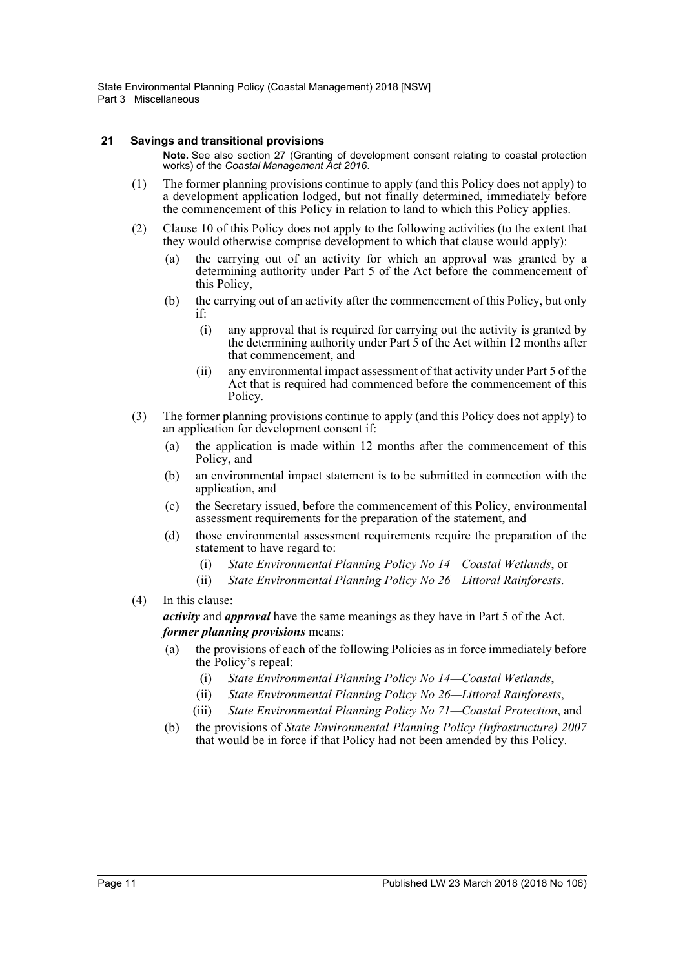#### <span id="page-10-0"></span>**21 Savings and transitional provisions**

**Note.** See also section 27 (Granting of development consent relating to coastal protection works) of the *Coastal Management Act 2016*.

- (1) The former planning provisions continue to apply (and this Policy does not apply) to a development application lodged, but not finally determined, immediately before the commencement of this Policy in relation to land to which this Policy applies.
- (2) Clause 10 of this Policy does not apply to the following activities (to the extent that they would otherwise comprise development to which that clause would apply):
	- (a) the carrying out of an activity for which an approval was granted by a determining authority under Part 5 of the Act before the commencement of this Policy,
	- (b) the carrying out of an activity after the commencement of this Policy, but only if:
		- (i) any approval that is required for carrying out the activity is granted by the determining authority under Part 5 of the Act within 12 months after that commencement, and
		- (ii) any environmental impact assessment of that activity under Part 5 of the Act that is required had commenced before the commencement of this Policy.
- (3) The former planning provisions continue to apply (and this Policy does not apply) to an application for development consent if:
	- (a) the application is made within 12 months after the commencement of this Policy, and
	- (b) an environmental impact statement is to be submitted in connection with the application, and
	- (c) the Secretary issued, before the commencement of this Policy, environmental assessment requirements for the preparation of the statement, and
	- (d) those environmental assessment requirements require the preparation of the statement to have regard to:
		- (i) *State Environmental Planning Policy No 14—Coastal Wetlands*, or
		- (ii) *State Environmental Planning Policy No 26—Littoral Rainforests*.
- (4) In this clause:

*activity* and *approval* have the same meanings as they have in Part 5 of the Act. *former planning provisions* means:

- (a) the provisions of each of the following Policies as in force immediately before the Policy's repeal:
	- (i) *State Environmental Planning Policy No 14—Coastal Wetlands*,
	- (ii) *State Environmental Planning Policy No 26—Littoral Rainforests*,
	- (iii) *State Environmental Planning Policy No 71—Coastal Protection*, and
- (b) the provisions of *State Environmental Planning Policy (Infrastructure) 2007* that would be in force if that Policy had not been amended by this Policy.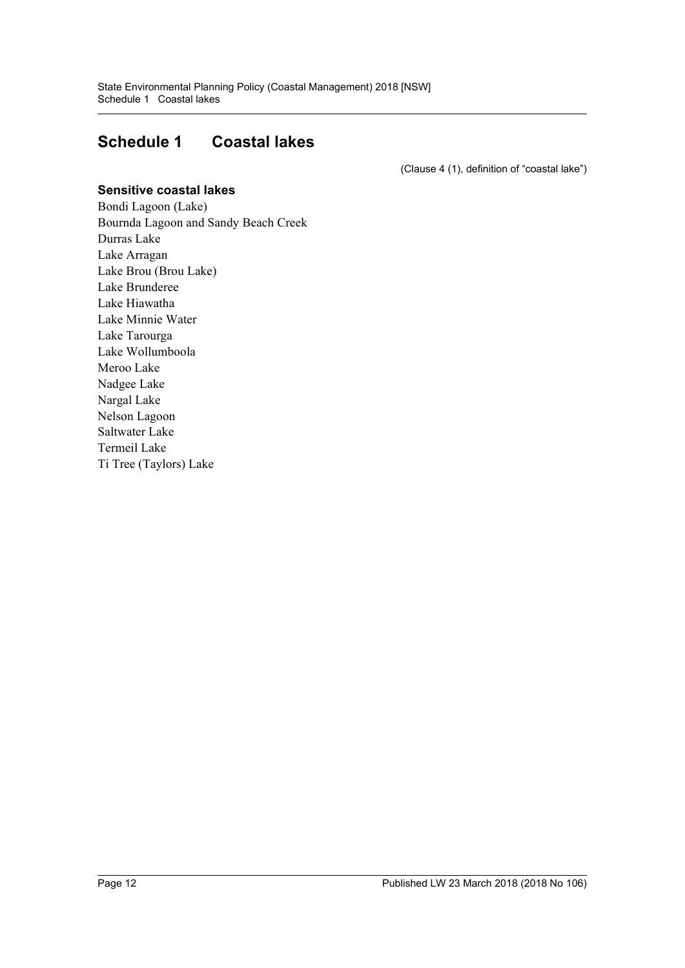## <span id="page-11-0"></span>**Schedule 1 Coastal lakes**

(Clause 4 (1), definition of "coastal lake")

#### **Sensitive coastal lakes**

Bondi Lagoon (Lake) Bournda Lagoon and Sandy Beach Creek Durras Lake Lake Arragan Lake Brou (Brou Lake) Lake Brunderee Lake Hiawatha Lake Minnie Water Lake Tarourga Lake Wollumboola Meroo Lake Nadgee Lake Nargal Lake Nelson Lagoon Saltwater Lake Termeil Lake Ti Tree (Taylors) Lake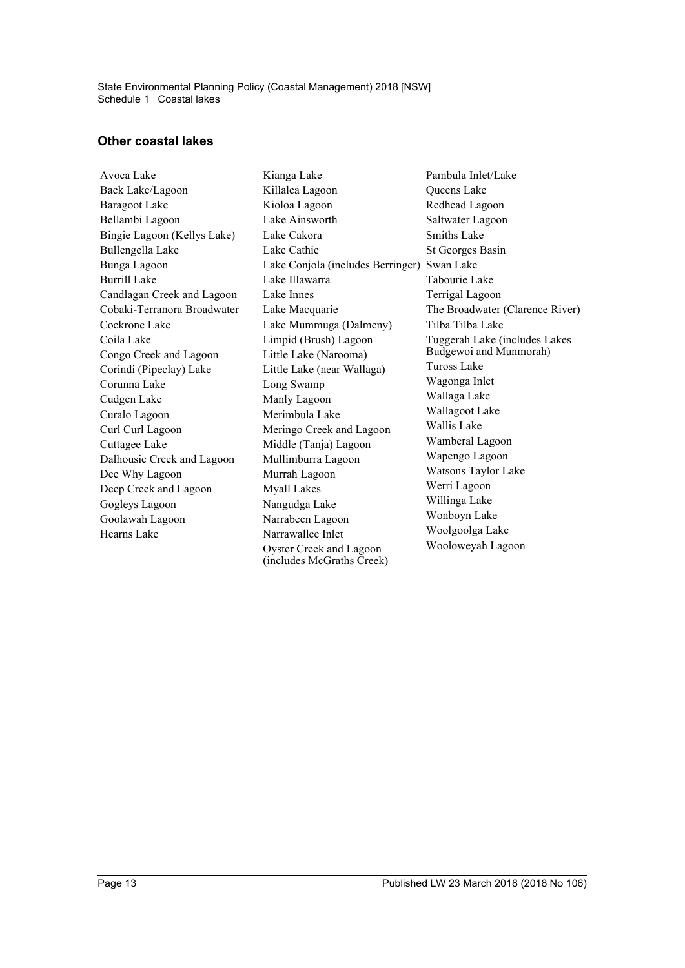#### **Other coastal lakes**

Avoca Lake Back Lake/Lagoon Baragoot Lake Bellambi Lagoon Bingie Lagoon (Kellys Lake) Bullengella Lake Bunga Lagoon Burrill Lake Candlagan Creek and Lagoon Cobaki-Terranora Broadwater Cockrone Lake Coila Lake Congo Creek and Lagoon Corindi (Pipeclay) Lake Corunna Lake Cudgen Lake Curalo Lagoon Curl Curl Lagoon Cuttagee Lake Dalhousie Creek and Lagoon Dee Why Lagoon Deep Creek and Lagoon Gogleys Lagoon Goolawah Lagoon Hearns Lake

Kianga Lake Killalea Lagoon Kioloa Lagoon Lake Ainsworth Lake Cakora Lake Cathie Lake Conjola (includes Berringer) Swan Lake Lake Illawarra Lake Innes Lake Macquarie Lake Mummuga (Dalmeny) Limpid (Brush) Lagoon Little Lake (Narooma) Little Lake (near Wallaga) Long Swamp Manly Lagoon Merimbula Lake Meringo Creek and Lagoon Middle (Tanja) Lagoon Mullimburra Lagoon Murrah Lagoon Myall Lakes Nangudga Lake Narrabeen Lagoon Narrawallee Inlet Oyster Creek and Lagoon (includes McGraths Creek)

Pambula Inlet/Lake Queens Lake Redhead Lagoon Saltwater Lagoon Smiths Lake St Georges Basin Tabourie Lake Terrigal Lagoon The Broadwater (Clarence River) Tilba Tilba Lake Tuggerah Lake (includes Lakes Budgewoi and Munmorah) Tuross Lake Wagonga Inlet Wallaga Lake Wallagoot Lake Wallis Lake Wamberal Lagoon Wapengo Lagoon Watsons Taylor Lake Werri Lagoon Willinga Lake Wonboyn Lake Woolgoolga Lake Wooloweyah Lagoon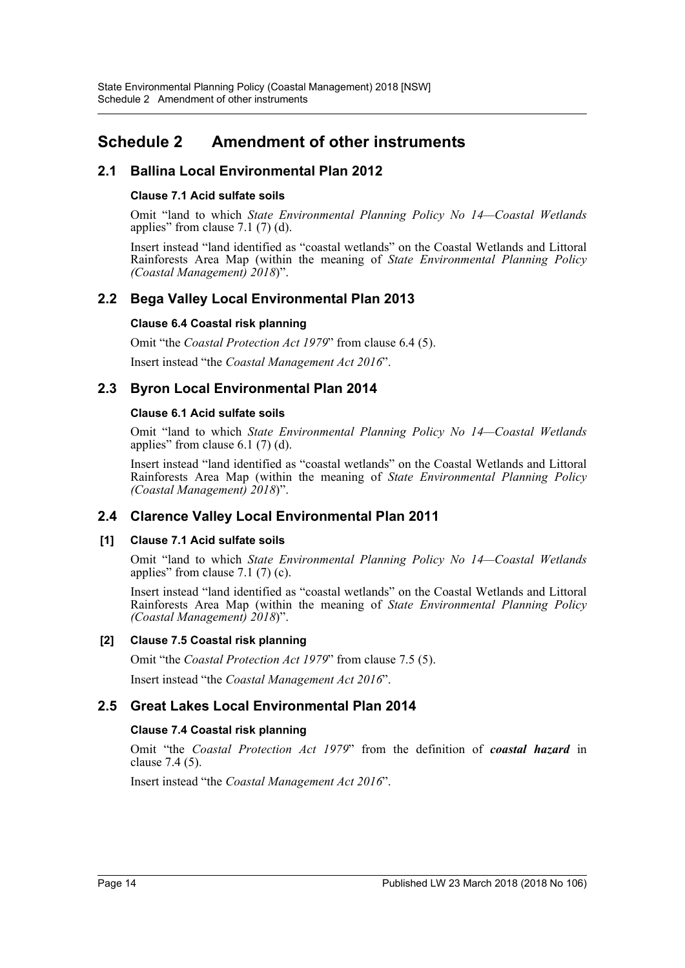## <span id="page-13-0"></span>**Schedule 2 Amendment of other instruments**

## **2.1 Ballina Local Environmental Plan 2012**

#### **Clause 7.1 Acid sulfate soils**

Omit "land to which *State Environmental Planning Policy No 14—Coastal Wetlands* applies" from clause 7.1 (7) (d).

Insert instead "land identified as "coastal wetlands" on the Coastal Wetlands and Littoral Rainforests Area Map (within the meaning of *State Environmental Planning Policy (Coastal Management) 2018*)".

## **2.2 Bega Valley Local Environmental Plan 2013**

#### **Clause 6.4 Coastal risk planning**

Omit "the *Coastal Protection Act 1979*" from clause 6.4 (5).

Insert instead "the *Coastal Management Act 2016*".

## **2.3 Byron Local Environmental Plan 2014**

#### **Clause 6.1 Acid sulfate soils**

Omit "land to which *State Environmental Planning Policy No 14—Coastal Wetlands* applies" from clause 6.1 (7) (d).

Insert instead "land identified as "coastal wetlands" on the Coastal Wetlands and Littoral Rainforests Area Map (within the meaning of *State Environmental Planning Policy (Coastal Management) 2018*)".

## **2.4 Clarence Valley Local Environmental Plan 2011**

#### **[1] Clause 7.1 Acid sulfate soils**

Omit "land to which *State Environmental Planning Policy No 14—Coastal Wetlands* applies" from clause 7.1 (7) (c).

Insert instead "land identified as "coastal wetlands" on the Coastal Wetlands and Littoral Rainforests Area Map (within the meaning of *State Environmental Planning Policy (Coastal Management) 2018*)".

#### **[2] Clause 7.5 Coastal risk planning**

Omit "the *Coastal Protection Act 1979*" from clause 7.5 (5).

Insert instead "the *Coastal Management Act 2016*".

## **2.5 Great Lakes Local Environmental Plan 2014**

## **Clause 7.4 Coastal risk planning**

Omit "the *Coastal Protection Act 1979*" from the definition of *coastal hazard* in clause 7.4 (5).

Insert instead "the *Coastal Management Act 2016*".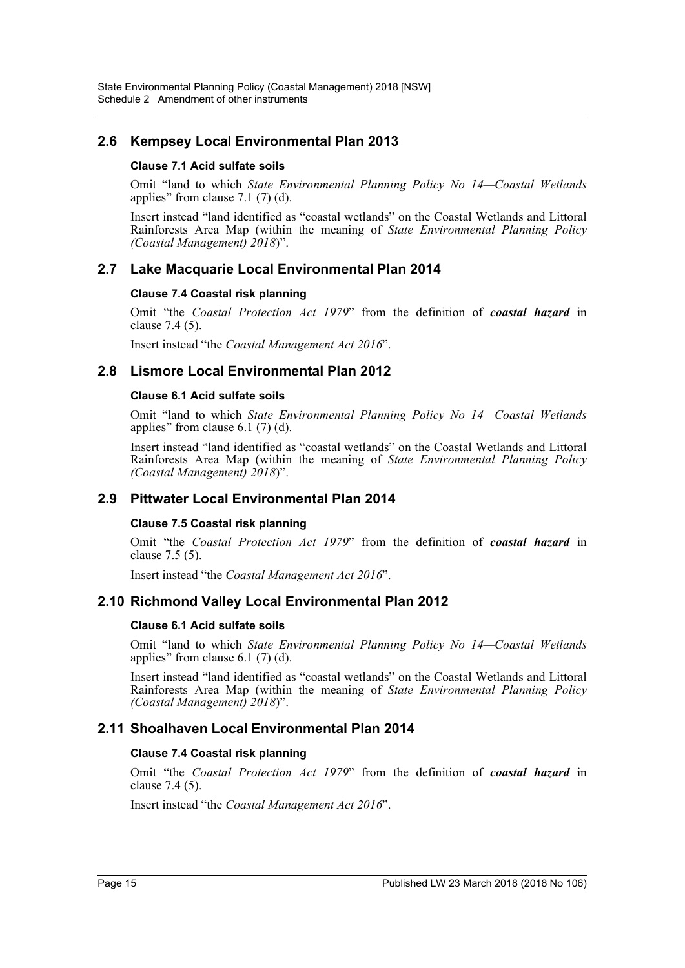## **2.6 Kempsey Local Environmental Plan 2013**

#### **Clause 7.1 Acid sulfate soils**

Omit "land to which *State Environmental Planning Policy No 14—Coastal Wetlands* applies" from clause 7.1 (7) (d).

Insert instead "land identified as "coastal wetlands" on the Coastal Wetlands and Littoral Rainforests Area Map (within the meaning of *State Environmental Planning Policy (Coastal Management) 2018*)".

## **2.7 Lake Macquarie Local Environmental Plan 2014**

#### **Clause 7.4 Coastal risk planning**

Omit "the *Coastal Protection Act 1979*" from the definition of *coastal hazard* in clause 7.4 (5).

Insert instead "the *Coastal Management Act 2016*".

## **2.8 Lismore Local Environmental Plan 2012**

#### **Clause 6.1 Acid sulfate soils**

Omit "land to which *State Environmental Planning Policy No 14—Coastal Wetlands* applies" from clause 6.1 (7) (d).

Insert instead "land identified as "coastal wetlands" on the Coastal Wetlands and Littoral Rainforests Area Map (within the meaning of *State Environmental Planning Policy (Coastal Management) 2018*)".

## **2.9 Pittwater Local Environmental Plan 2014**

#### **Clause 7.5 Coastal risk planning**

Omit "the *Coastal Protection Act 1979*" from the definition of *coastal hazard* in clause 7.5 (5).

Insert instead "the *Coastal Management Act 2016*".

## **2.10 Richmond Valley Local Environmental Plan 2012**

#### **Clause 6.1 Acid sulfate soils**

Omit "land to which *State Environmental Planning Policy No 14—Coastal Wetlands* applies" from clause  $6.1(7)(d)$ .

Insert instead "land identified as "coastal wetlands" on the Coastal Wetlands and Littoral Rainforests Area Map (within the meaning of *State Environmental Planning Policy (Coastal Management) 2018*)".

## **2.11 Shoalhaven Local Environmental Plan 2014**

#### **Clause 7.4 Coastal risk planning**

Omit "the *Coastal Protection Act 1979*" from the definition of *coastal hazard* in clause 7.4 (5).

Insert instead "the *Coastal Management Act 2016*".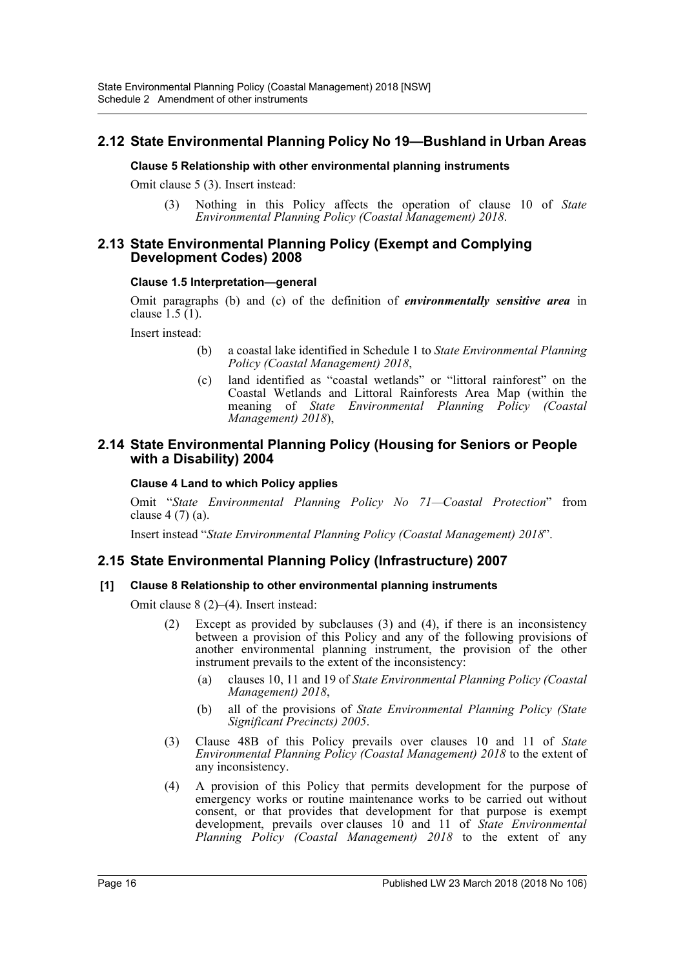## **2.12 State Environmental Planning Policy No 19—Bushland in Urban Areas**

#### **Clause 5 Relationship with other environmental planning instruments**

Omit clause 5 (3). Insert instead:

(3) Nothing in this Policy affects the operation of clause 10 of *State Environmental Planning Policy (Coastal Management) 2018*.

#### **2.13 State Environmental Planning Policy (Exempt and Complying Development Codes) 2008**

#### **Clause 1.5 Interpretation—general**

Omit paragraphs (b) and (c) of the definition of *environmentally sensitive area* in clause  $1.5(1)$ .

Insert instead:

- (b) a coastal lake identified in Schedule 1 to *State Environmental Planning Policy (Coastal Management) 2018*,
- (c) land identified as "coastal wetlands" or "littoral rainforest" on the Coastal Wetlands and Littoral Rainforests Area Map (within the meaning of *State Environmental Planning Policy (Coastal Management) 2018*),

#### **2.14 State Environmental Planning Policy (Housing for Seniors or People with a Disability) 2004**

#### **Clause 4 Land to which Policy applies**

Omit "*State Environmental Planning Policy No 71—Coastal Protection*" from clause 4 (7) (a).

Insert instead "*State Environmental Planning Policy (Coastal Management) 2018*".

## **2.15 State Environmental Planning Policy (Infrastructure) 2007**

#### **[1] Clause 8 Relationship to other environmental planning instruments**

Omit clause 8 (2)–(4). Insert instead:

- (2) Except as provided by subclauses (3) and (4), if there is an inconsistency between a provision of this Policy and any of the following provisions of another environmental planning instrument, the provision of the other instrument prevails to the extent of the inconsistency:
	- (a) clauses 10, 11 and 19 of *State Environmental Planning Policy (Coastal Management) 2018*,
	- (b) all of the provisions of *State Environmental Planning Policy (State Significant Precincts) 2005*.
- (3) Clause 48B of this Policy prevails over clauses 10 and 11 of *State Environmental Planning Policy (Coastal Management) 2018* to the extent of any inconsistency.
- (4) A provision of this Policy that permits development for the purpose of emergency works or routine maintenance works to be carried out without consent, or that provides that development for that purpose is exempt development, prevails over clauses 10 and 11 of *State Environmental Planning Policy (Coastal Management) 2018* to the extent of any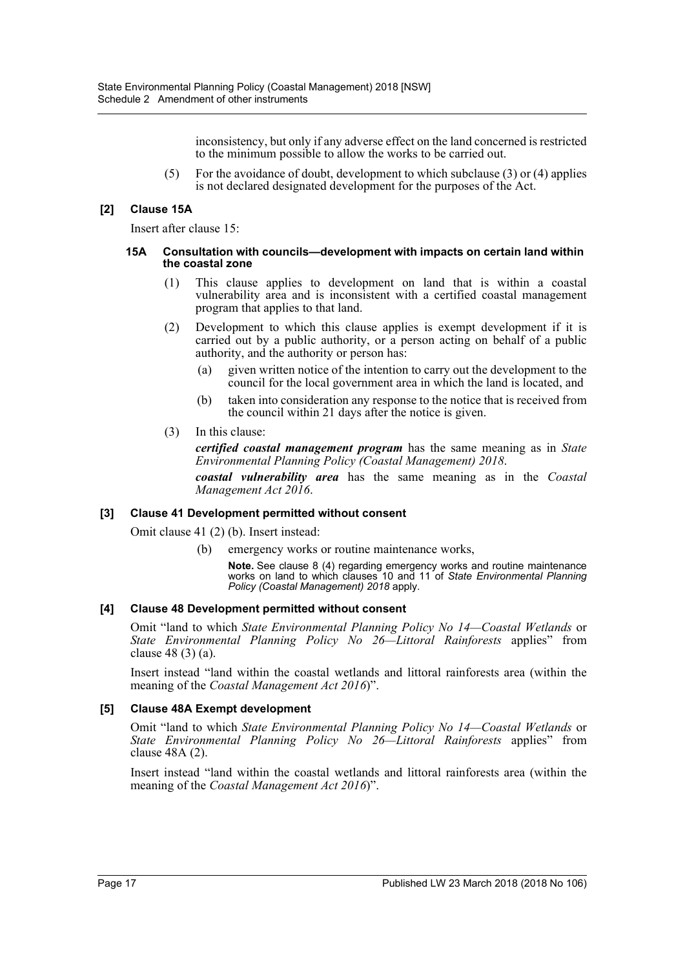inconsistency, but only if any adverse effect on the land concerned is restricted to the minimum possible to allow the works to be carried out.

(5) For the avoidance of doubt, development to which subclause (3) or (4) applies is not declared designated development for the purposes of the Act.

#### **[2] Clause 15A**

Insert after clause 15:

#### **15A Consultation with councils—development with impacts on certain land within the coastal zone**

- (1) This clause applies to development on land that is within a coastal vulnerability area and is inconsistent with a certified coastal management program that applies to that land.
- (2) Development to which this clause applies is exempt development if it is carried out by a public authority, or a person acting on behalf of a public authority, and the authority or person has:
	- (a) given written notice of the intention to carry out the development to the council for the local government area in which the land is located, and
	- (b) taken into consideration any response to the notice that is received from the council within 21 days after the notice is given.
- (3) In this clause:

*certified coastal management program* has the same meaning as in *State Environmental Planning Policy (Coastal Management) 2018*.

*coastal vulnerability area* has the same meaning as in the *Coastal Management Act 2016*.

#### **[3] Clause 41 Development permitted without consent**

Omit clause 41 (2) (b). Insert instead:

(b) emergency works or routine maintenance works,

**Note.** See clause 8 (4) regarding emergency works and routine maintenance works on land to which clauses 10 and 11 of *State Environmental Planning Policy (Coastal Management) 2018* apply.

#### **[4] Clause 48 Development permitted without consent**

Omit "land to which *State Environmental Planning Policy No 14—Coastal Wetlands* or *State Environmental Planning Policy No 26—Littoral Rainforests* applies" from clause 48 (3) (a).

Insert instead "land within the coastal wetlands and littoral rainforests area (within the meaning of the *Coastal Management Act 2016*)".

#### **[5] Clause 48A Exempt development**

Omit "land to which *State Environmental Planning Policy No 14—Coastal Wetlands* or *State Environmental Planning Policy No 26—Littoral Rainforests* applies" from clause 48A (2).

Insert instead "land within the coastal wetlands and littoral rainforests area (within the meaning of the *Coastal Management Act 2016*)".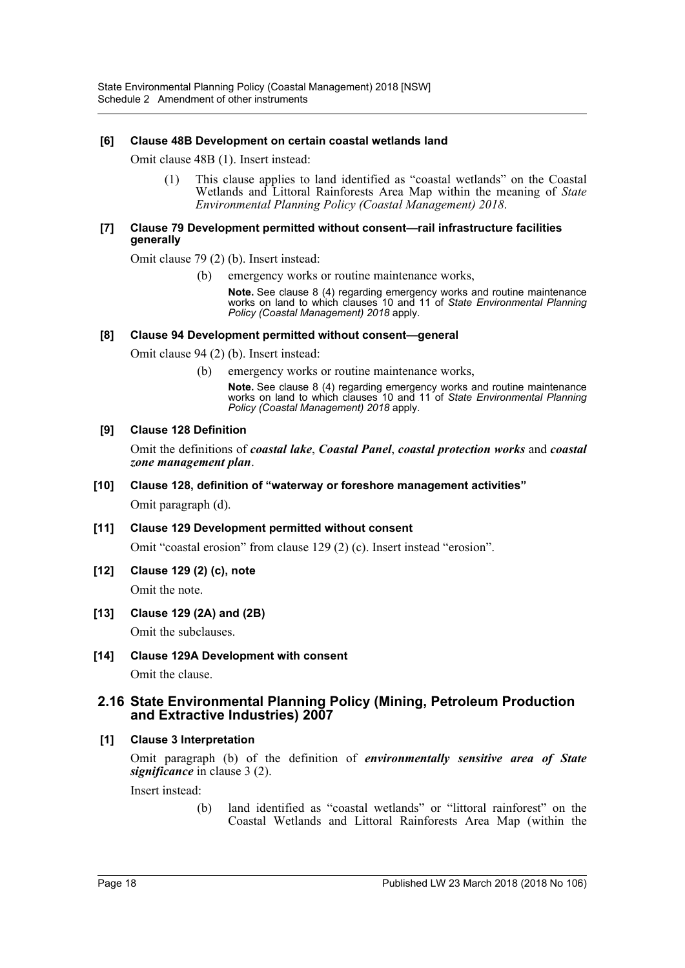#### **[6] Clause 48B Development on certain coastal wetlands land**

Omit clause 48B (1). Insert instead:

(1) This clause applies to land identified as "coastal wetlands" on the Coastal Wetlands and Littoral Rainforests Area Map within the meaning of *State Environmental Planning Policy (Coastal Management) 2018*.

#### **[7] Clause 79 Development permitted without consent—rail infrastructure facilities generally**

Omit clause 79 (2) (b). Insert instead:

(b) emergency works or routine maintenance works,

**Note.** See clause 8 (4) regarding emergency works and routine maintenance works on land to which clauses 10 and 11 of *State Environmental Planning Policy (Coastal Management) 2018* apply.

#### **[8] Clause 94 Development permitted without consent—general**

Omit clause 94 (2) (b). Insert instead:

(b) emergency works or routine maintenance works,

**Note.** See clause 8 (4) regarding emergency works and routine maintenance works on land to which clauses 10 and 11 of *State Environmental Planning Policy (Coastal Management) 2018* apply.

#### **[9] Clause 128 Definition**

Omit the definitions of *coastal lake*, *Coastal Panel*, *coastal protection works* and *coastal zone management plan*.

#### **[10] Clause 128, definition of "waterway or foreshore management activities"**

Omit paragraph (d).

#### **[11] Clause 129 Development permitted without consent**

Omit "coastal erosion" from clause 129 (2) (c). Insert instead "erosion".

**[12] Clause 129 (2) (c), note**

Omit the note.

#### **[13] Clause 129 (2A) and (2B)**

Omit the subclauses.

#### **[14] Clause 129A Development with consent**

Omit the clause.

#### **2.16 State Environmental Planning Policy (Mining, Petroleum Production and Extractive Industries) 2007**

#### **[1] Clause 3 Interpretation**

Omit paragraph (b) of the definition of *environmentally sensitive area of State significance* in clause 3 (2).

Insert instead:

(b) land identified as "coastal wetlands" or "littoral rainforest" on the Coastal Wetlands and Littoral Rainforests Area Map (within the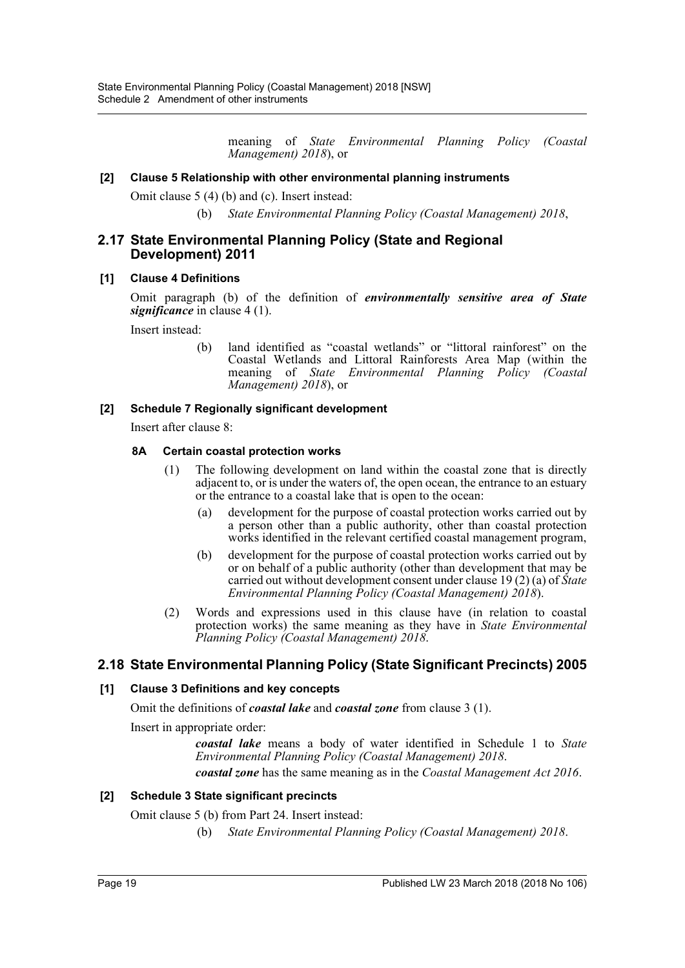meaning of *State Environmental Planning Policy (Coastal Management) 2018*), or

#### **[2] Clause 5 Relationship with other environmental planning instruments**

Omit clause 5 (4) (b) and (c). Insert instead:

(b) *State Environmental Planning Policy (Coastal Management) 2018*,

#### **2.17 State Environmental Planning Policy (State and Regional Development) 2011**

#### **[1] Clause 4 Definitions**

Omit paragraph (b) of the definition of *environmentally sensitive area of State significance* in clause 4 (1).

Insert instead:

(b) land identified as "coastal wetlands" or "littoral rainforest" on the Coastal Wetlands and Littoral Rainforests Area Map (within the meaning of *State Environmental Planning Policy (Coastal Management) 2018*), or

#### **[2] Schedule 7 Regionally significant development**

Insert after clause 8:

#### **8A Certain coastal protection works**

- (1) The following development on land within the coastal zone that is directly adjacent to, or is under the waters of, the open ocean, the entrance to an estuary or the entrance to a coastal lake that is open to the ocean:
	- (a) development for the purpose of coastal protection works carried out by a person other than a public authority, other than coastal protection works identified in the relevant certified coastal management program,
	- (b) development for the purpose of coastal protection works carried out by or on behalf of a public authority (other than development that may be carried out without development consent under clause 19 (2) (a) of *State Environmental Planning Policy (Coastal Management) 2018*).
- (2) Words and expressions used in this clause have (in relation to coastal protection works) the same meaning as they have in *State Environmental Planning Policy (Coastal Management) 2018*.

## **2.18 State Environmental Planning Policy (State Significant Precincts) 2005**

#### **[1] Clause 3 Definitions and key concepts**

Omit the definitions of *coastal lake* and *coastal zone* from clause 3 (1).

Insert in appropriate order:

*coastal lake* means a body of water identified in Schedule 1 to *State Environmental Planning Policy (Coastal Management) 2018*.

*coastal zone* has the same meaning as in the *Coastal Management Act 2016*.

#### **[2] Schedule 3 State significant precincts**

Omit clause 5 (b) from Part 24. Insert instead:

(b) *State Environmental Planning Policy (Coastal Management) 2018*.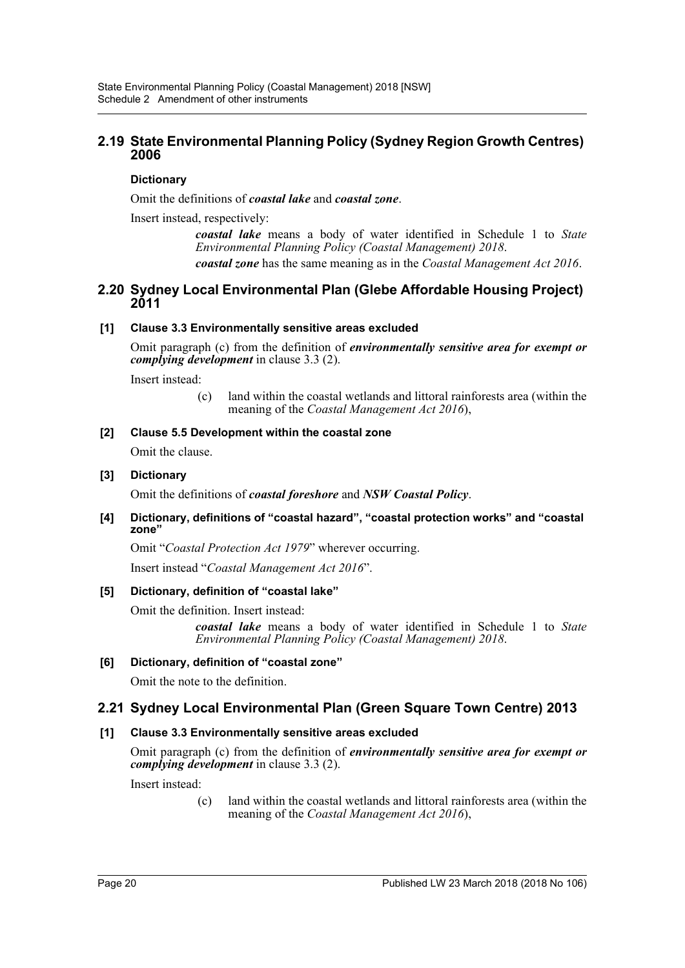## **2.19 State Environmental Planning Policy (Sydney Region Growth Centres) 2006**

#### **Dictionary**

Omit the definitions of *coastal lake* and *coastal zone*.

Insert instead, respectively:

*coastal lake* means a body of water identified in Schedule 1 to *State Environmental Planning Policy (Coastal Management) 2018*. *coastal zone* has the same meaning as in the *Coastal Management Act 2016*.

### **2.20 Sydney Local Environmental Plan (Glebe Affordable Housing Project) 2011**

#### **[1] Clause 3.3 Environmentally sensitive areas excluded**

Omit paragraph (c) from the definition of *environmentally sensitive area for exempt or complying development* in clause 3.3 (2).

Insert instead:

(c) land within the coastal wetlands and littoral rainforests area (within the meaning of the *Coastal Management Act 2016*),

#### **[2] Clause 5.5 Development within the coastal zone**

Omit the clause.

#### **[3] Dictionary**

Omit the definitions of *coastal foreshore* and *NSW Coastal Policy*.

#### **[4] Dictionary, definitions of "coastal hazard", "coastal protection works" and "coastal zone"**

Omit "*Coastal Protection Act 1979*" wherever occurring.

Insert instead "*Coastal Management Act 2016*".

#### **[5] Dictionary, definition of "coastal lake"**

Omit the definition. Insert instead:

*coastal lake* means a body of water identified in Schedule 1 to *State Environmental Planning Policy (Coastal Management) 2018*.

#### **[6] Dictionary, definition of "coastal zone"**

Omit the note to the definition.

## **2.21 Sydney Local Environmental Plan (Green Square Town Centre) 2013**

## **[1] Clause 3.3 Environmentally sensitive areas excluded**

Omit paragraph (c) from the definition of *environmentally sensitive area for exempt or complying development* in clause 3.3 (2).

Insert instead:

(c) land within the coastal wetlands and littoral rainforests area (within the meaning of the *Coastal Management Act 2016*),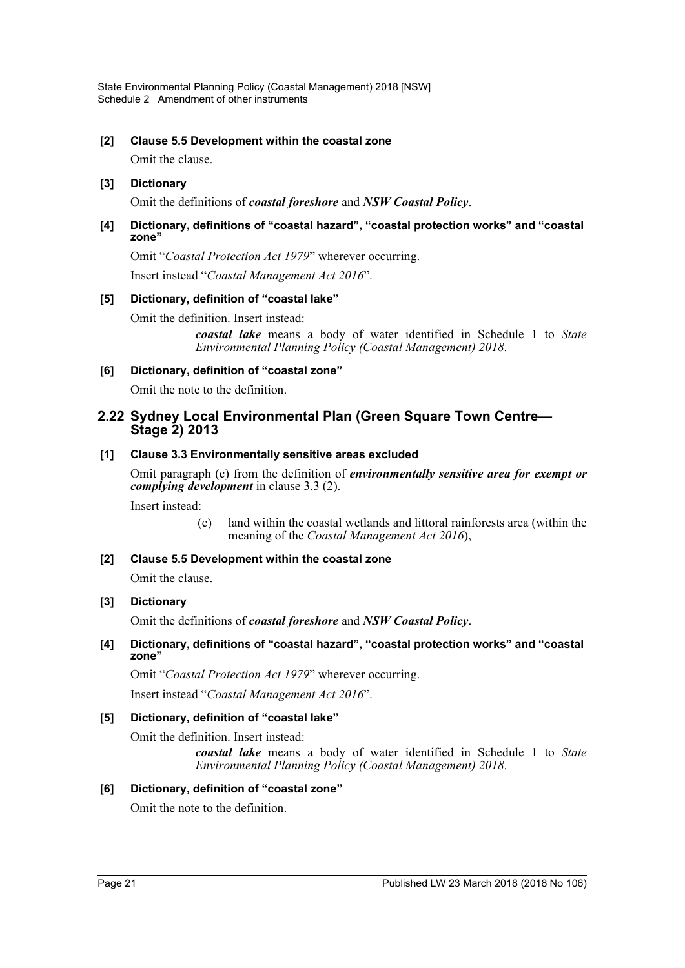#### **[2] Clause 5.5 Development within the coastal zone**

Omit the clause.

#### **[3] Dictionary**

Omit the definitions of *coastal foreshore* and *NSW Coastal Policy*.

#### **[4] Dictionary, definitions of "coastal hazard", "coastal protection works" and "coastal zone"**

Omit "*Coastal Protection Act 1979*" wherever occurring. Insert instead "*Coastal Management Act 2016*".

## **[5] Dictionary, definition of "coastal lake"**

Omit the definition. Insert instead:

*coastal lake* means a body of water identified in Schedule 1 to *State Environmental Planning Policy (Coastal Management) 2018*.

#### **[6] Dictionary, definition of "coastal zone"**

Omit the note to the definition.

### **2.22 Sydney Local Environmental Plan (Green Square Town Centre— Stage 2) 2013**

#### **[1] Clause 3.3 Environmentally sensitive areas excluded**

Omit paragraph (c) from the definition of *environmentally sensitive area for exempt or complying development* in clause 3.3 (2).

Insert instead:

(c) land within the coastal wetlands and littoral rainforests area (within the meaning of the *Coastal Management Act 2016*),

## **[2] Clause 5.5 Development within the coastal zone**

Omit the clause.

#### **[3] Dictionary**

Omit the definitions of *coastal foreshore* and *NSW Coastal Policy*.

#### **[4] Dictionary, definitions of "coastal hazard", "coastal protection works" and "coastal zone"**

Omit "*Coastal Protection Act 1979*" wherever occurring. Insert instead "*Coastal Management Act 2016*".

#### **[5] Dictionary, definition of "coastal lake"**

Omit the definition. Insert instead:

*coastal lake* means a body of water identified in Schedule 1 to *State Environmental Planning Policy (Coastal Management) 2018*.

#### **[6] Dictionary, definition of "coastal zone"**

Omit the note to the definition.